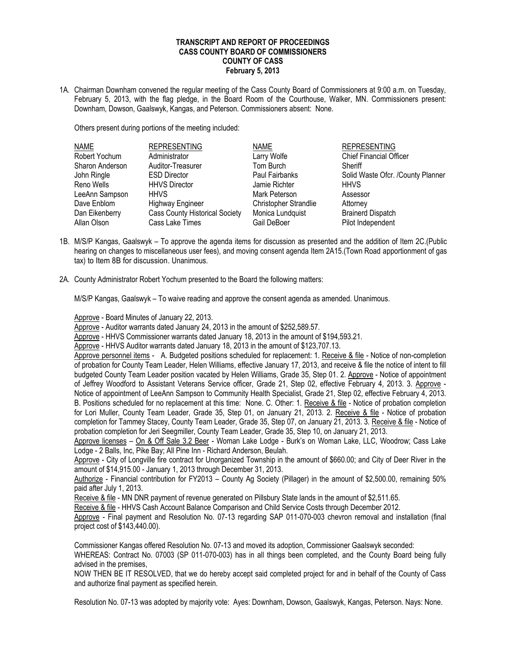## **TRANSCRIPT AND REPORT OF PROCEEDINGS CASS COUNTY BOARD OF COMMISSIONERS COUNTY OF CASS February 5, 2013**

1A. Chairman Downham convened the regular meeting of the Cass County Board of Commissioners at 9:00 a.m. on Tuesday, February 5, 2013, with the flag pledge, in the Board Room of the Courthouse, Walker, MN. Commissioners present: Downham, Dowson, Gaalswyk, Kangas, and Peterson. Commissioners absent: None.

Others present during portions of the meeting included:

|                                                                                                                                                                                                                | <b>REPRESENTING</b>                                                                                                                                                   |
|----------------------------------------------------------------------------------------------------------------------------------------------------------------------------------------------------------------|-----------------------------------------------------------------------------------------------------------------------------------------------------------------------|
|                                                                                                                                                                                                                | <b>Chief Financial Officer</b>                                                                                                                                        |
|                                                                                                                                                                                                                | Sheriff                                                                                                                                                               |
|                                                                                                                                                                                                                | Solid Waste Ofcr. /County Planner                                                                                                                                     |
|                                                                                                                                                                                                                | <b>HHVS</b>                                                                                                                                                           |
|                                                                                                                                                                                                                | Assessor                                                                                                                                                              |
|                                                                                                                                                                                                                | Attorney                                                                                                                                                              |
|                                                                                                                                                                                                                | <b>Brainerd Dispatch</b>                                                                                                                                              |
|                                                                                                                                                                                                                | Pilot Independent                                                                                                                                                     |
| <b>REPRESENTING</b><br>Administrator<br>Auditor-Treasurer<br><b>ESD Director</b><br><b>HHVS Director</b><br><b>HHVS</b><br><b>Highway Engineer</b><br><b>Cass County Historical Society</b><br>Cass Lake Times | <b>NAME</b><br>Larry Wolfe<br>Tom Burch<br><b>Paul Fairbanks</b><br>Jamie Richter<br>Mark Peterson<br><b>Christopher Strandlie</b><br>Monica Lundquist<br>Gail DeBoer |

- 1B. M/S/P Kangas, Gaalswyk To approve the agenda items for discussion as presented and the addition of Item 2C.(Public hearing on changes to miscellaneous user fees), and moving consent agenda Item 2A15.(Town Road apportionment of gas tax) to Item 8B for discussion. Unanimous.
- 2A. County Administrator Robert Yochum presented to the Board the following matters:

M/S/P Kangas, Gaalswyk – To waive reading and approve the consent agenda as amended. Unanimous.

Approve - Board Minutes of January 22, 2013.

Approve - Auditor warrants dated January 24, 2013 in the amount of \$252,589.57.

Approve - HHVS Commissioner warrants dated January 18, 2013 in the amount of \$194,593.21.

Approve - HHVS Auditor warrants dated January 18, 2013 in the amount of \$123,707.13.

Approve personnel items - A. Budgeted positions scheduled for replacement: 1. Receive & file - Notice of non-completion of probation for County Team Leader, Helen Williams, effective January 17, 2013, and receive & file the notice of intent to fill budgeted County Team Leader position vacated by Helen Williams, Grade 35, Step 01. 2. Approve - Notice of appointment of Jeffrey Woodford to Assistant Veterans Service officer, Grade 21, Step 02, effective February 4, 2013. 3. Approve - Notice of appointment of LeeAnn Sampson to Community Health Specialist, Grade 21, Step 02, effective February 4, 2013. B. Positions scheduled for no replacement at this time: None. C. Other: 1. Receive & file - Notice of probation completion for Lori Muller, County Team Leader, Grade 35, Step 01, on January 21, 2013. 2. Receive & file - Notice of probation completion for Tammey Stacey, County Team Leader, Grade 35, Step 07, on January 21, 2013. 3. Receive & file - Notice of probation completion for Jeri Seegmiller, County Team Leader, Grade 35, Step 10, on January 21, 2013.

Approve licenses – On & Off Sale 3.2 Beer - Woman Lake Lodge - Burk's on Woman Lake, LLC, Woodrow; Cass Lake Lodge - 2 Balls, Inc, Pike Bay; All Pine Inn - Richard Anderson, Beulah.

Approve - City of Longville fire contract for Unorganized Township in the amount of \$660.00; and City of Deer River in the amount of \$14,915.00 - January 1, 2013 through December 31, 2013.

Authorize - Financial contribution for FY2013 – County Ag Society (Pillager) in the amount of \$2,500.00, remaining 50% paid after July 1, 2013.

Receive & file - MN DNR payment of revenue generated on Pillsbury State lands in the amount of \$2,511.65.

Receive & file - HHVS Cash Account Balance Comparison and Child Service Costs through December 2012.

Approve - Final payment and Resolution No. 07-13 regarding SAP 011-070-003 chevron removal and installation (final project cost of \$143,440.00).

Commissioner Kangas offered Resolution No. 07-13 and moved its adoption, Commissioner Gaalswyk seconded: WHEREAS: Contract No. 07003 (SP 011-070-003) has in all things been completed, and the County Board being fully advised in the premises,

NOW THEN BE IT RESOLVED, that we do hereby accept said completed project for and in behalf of the County of Cass and authorize final payment as specified herein.

Resolution No. 07-13 was adopted by majority vote: Ayes: Downham, Dowson, Gaalswyk, Kangas, Peterson. Nays: None.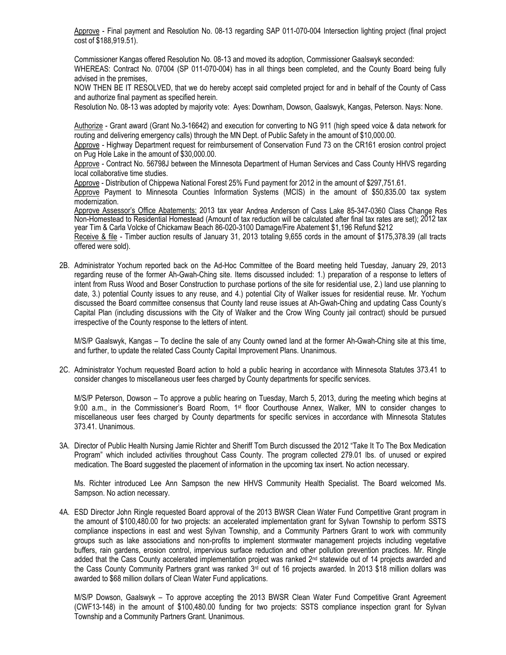Approve - Final payment and Resolution No. 08-13 regarding SAP 011-070-004 Intersection lighting project (final project cost of \$188,919.51).

Commissioner Kangas offered Resolution No. 08-13 and moved its adoption, Commissioner Gaalswyk seconded: WHEREAS: Contract No. 07004 (SP 011-070-004) has in all things been completed, and the County Board being fully advised in the premises,

NOW THEN BE IT RESOLVED, that we do hereby accept said completed project for and in behalf of the County of Cass and authorize final payment as specified herein.

Resolution No. 08-13 was adopted by majority vote: Ayes: Downham, Dowson, Gaalswyk, Kangas, Peterson. Nays: None.

Authorize - Grant award (Grant No.3-16642) and execution for converting to NG 911 (high speed voice & data network for routing and delivering emergency calls) through the MN Dept. of Public Safety in the amount of \$10,000.00.

Approve - Highway Department request for reimbursement of Conservation Fund 73 on the CR161 erosion control project on Pug Hole Lake in the amount of \$30,000.00.

Approve - Contract No. 56798J between the Minnesota Department of Human Services and Cass County HHVS regarding local collaborative time studies.

Approve - Distribution of Chippewa National Forest 25% Fund payment for 2012 in the amount of \$297,751.61.

Approve Payment to Minnesota Counties Information Systems (MCIS) in the amount of \$50,835.00 tax system modernization.

Approve Assessor's Office Abatements: 2013 tax year Andrea Anderson of Cass Lake 85-347-0360 Class Change Res Non-Homestead to Residential Homestead (Amount of tax reduction will be calculated after final tax rates are set); 2012 tax year Tim & Carla Volcke of Chickamaw Beach 86-020-3100 Damage/Fire Abatement \$1,196 Refund \$212

Receive & file - Timber auction results of January 31, 2013 totaling 9,655 cords in the amount of \$175,378.39 (all tracts offered were sold).

2B. Administrator Yochum reported back on the Ad-Hoc Committee of the Board meeting held Tuesday, January 29, 2013 regarding reuse of the former Ah-Gwah-Ching site. Items discussed included: 1.) preparation of a response to letters of intent from Russ Wood and Boser Construction to purchase portions of the site for residential use, 2.) land use planning to date, 3.) potential County issues to any reuse, and 4.) potential City of Walker issues for residential reuse. Mr. Yochum discussed the Board committee consensus that County land reuse issues at Ah-Gwah-Ching and updating Cass County's Capital Plan (including discussions with the City of Walker and the Crow Wing County jail contract) should be pursued irrespective of the County response to the letters of intent.

M/S/P Gaalswyk, Kangas – To decline the sale of any County owned land at the former Ah-Gwah-Ching site at this time, and further, to update the related Cass County Capital Improvement Plans. Unanimous.

2C. Administrator Yochum requested Board action to hold a public hearing in accordance with Minnesota Statutes 373.41 to consider changes to miscellaneous user fees charged by County departments for specific services.

M/S/P Peterson, Dowson – To approve a public hearing on Tuesday, March 5, 2013, during the meeting which begins at 9:00 a.m., in the Commissioner's Board Room, 1<sup>st</sup> floor Courthouse Annex, Walker, MN to consider changes to miscellaneous user fees charged by County departments for specific services in accordance with Minnesota Statutes 373.41. Unanimous.

3A. Director of Public Health Nursing Jamie Richter and Sheriff Tom Burch discussed the 2012 "Take It To The Box Medication Program" which included activities throughout Cass County. The program collected 279.01 lbs. of unused or expired medication. The Board suggested the placement of information in the upcoming tax insert. No action necessary.

Ms. Richter introduced Lee Ann Sampson the new HHVS Community Health Specialist. The Board welcomed Ms. Sampson. No action necessary.

4A. ESD Director John Ringle requested Board approval of the 2013 BWSR Clean Water Fund Competitive Grant program in the amount of \$100,480.00 for two projects: an accelerated implementation grant for Sylvan Township to perform SSTS compliance inspections in east and west Sylvan Township, and a Community Partners Grant to work with community groups such as lake associations and non-profits to implement stormwater management projects including vegetative buffers, rain gardens, erosion control, impervious surface reduction and other pollution prevention practices. Mr. Ringle added that the Cass County accelerated implementation project was ranked 2<sup>nd</sup> statewide out of 14 projects awarded and the Cass County Community Partners grant was ranked 3<sup>rd</sup> out of 16 projects awarded. In 2013 \$18 million dollars was awarded to \$68 million dollars of Clean Water Fund applications.

M/S/P Dowson, Gaalswyk – To approve accepting the 2013 BWSR Clean Water Fund Competitive Grant Agreement (CWF13-148) in the amount of \$100,480.00 funding for two projects: SSTS compliance inspection grant for Sylvan Township and a Community Partners Grant. Unanimous.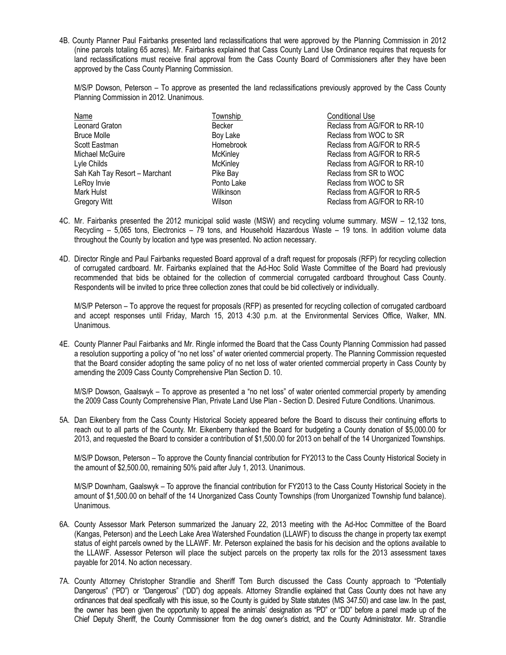4B. County Planner Paul Fairbanks presented land reclassifications that were approved by the Planning Commission in 2012 (nine parcels totaling 65 acres). Mr. Fairbanks explained that Cass County Land Use Ordinance requires that requests for land reclassifications must receive final approval from the Cass County Board of Commissioners after they have been approved by the Cass County Planning Commission.

M/S/P Dowson, Peterson – To approve as presented the land reclassifications previously approved by the Cass County Planning Commission in 2012. Unanimous.

| <b>Name</b>                   | Township         | <b>Conditional Use</b>       |
|-------------------------------|------------------|------------------------------|
| Leonard Graton                | Becker           | Reclass from AG/FOR to RR-10 |
| Bruce Molle                   | Boy Lake         | Reclass from WOC to SR       |
| Scott Eastman                 | Homebrook        | Reclass from AG/FOR to RR-5  |
| Michael McGuire               | McKinley         | Reclass from AG/FOR to RR-5  |
| Lyle Childs                   | McKinley         | Reclass from AG/FOR to RR-10 |
| Sah Kah Tay Resort - Marchant | Pike Bay         | Reclass from SR to WOC       |
| LeRoy Invie                   | Ponto Lake       | Reclass from WOC to SR       |
| Mark Hulst                    | <b>Wilkinson</b> | Reclass from AG/FOR to RR-5  |
| Gregory Witt                  | Wilson           | Reclass from AG/FOR to RR-10 |

- 4C. Mr. Fairbanks presented the 2012 municipal solid waste (MSW) and recycling volume summary. MSW 12,132 tons, Recycling – 5,065 tons, Electronics – 79 tons, and Household Hazardous Waste – 19 tons. In addition volume data throughout the County by location and type was presented. No action necessary.
- 4D. Director Ringle and Paul Fairbanks requested Board approval of a draft request for proposals (RFP) for recycling collection of corrugated cardboard. Mr. Fairbanks explained that the Ad-Hoc Solid Waste Committee of the Board had previously recommended that bids be obtained for the collection of commercial corrugated cardboard throughout Cass County. Respondents will be invited to price three collection zones that could be bid collectively or individually.

M/S/P Peterson – To approve the request for proposals (RFP) as presented for recycling collection of corrugated cardboard and accept responses until Friday, March 15, 2013 4:30 p.m. at the Environmental Services Office, Walker, MN. Unanimous.

4E. County Planner Paul Fairbanks and Mr. Ringle informed the Board that the Cass County Planning Commission had passed a resolution supporting a policy of "no net loss" of water oriented commercial property. The Planning Commission requested that the Board consider adopting the same policy of no net loss of water oriented commercial property in Cass County by amending the 2009 Cass County Comprehensive Plan Section D. 10.

M/S/P Dowson, Gaalswyk – To approve as presented a "no net loss" of water oriented commercial property by amending the 2009 Cass County Comprehensive Plan, Private Land Use Plan - Section D. Desired Future Conditions. Unanimous.

5A. Dan Eikenbery from the Cass County Historical Society appeared before the Board to discuss their continuing efforts to reach out to all parts of the County. Mr. Eikenberry thanked the Board for budgeting a County donation of \$5,000.00 for 2013, and requested the Board to consider a contribution of \$1,500.00 for 2013 on behalf of the 14 Unorganized Townships.

M/S/P Dowson, Peterson – To approve the County financial contribution for FY2013 to the Cass County Historical Society in the amount of \$2,500.00, remaining 50% paid after July 1, 2013. Unanimous.

M/S/P Downham, Gaalswyk – To approve the financial contribution for FY2013 to the Cass County Historical Society in the amount of \$1,500.00 on behalf of the 14 Unorganized Cass County Townships (from Unorganized Township fund balance). Unanimous.

- 6A. County Assessor Mark Peterson summarized the January 22, 2013 meeting with the Ad-Hoc Committee of the Board (Kangas, Peterson) and the Leech Lake Area Watershed Foundation (LLAWF) to discuss the change in property tax exempt status of eight parcels owned by the LLAWF. Mr. Peterson explained the basis for his decision and the options available to the LLAWF. Assessor Peterson will place the subject parcels on the property tax rolls for the 2013 assessment taxes payable for 2014. No action necessary.
- 7A. County Attorney Christopher Strandlie and Sheriff Tom Burch discussed the Cass County approach to "Potentially Dangerous" ("PD") or "Dangerous" ("DD") dog appeals. Attorney Strandlie explained that Cass County does not have any ordinances that deal specifically with this issue, so the County is guided by State statutes (MS 347.50) and case law. In the past, the owner has been given the opportunity to appeal the animals' designation as "PD" or "DD" before a panel made up of the Chief Deputy Sheriff, the County Commissioner from the dog owner's district, and the County Administrator. Mr. Strandlie